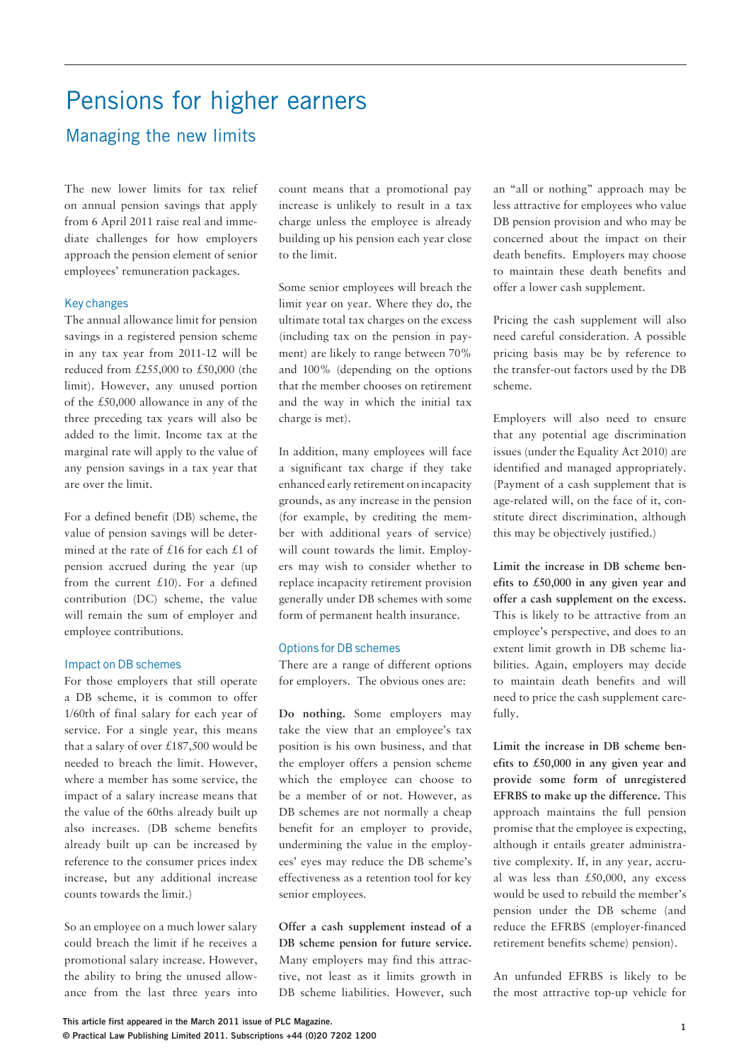# Pensions for higher earners Managing the new limits

The new lower limits for tax relief on annual pension savings that apply from 6 April 2011 raise real and immediate challenges for how employers approach the pension element of senior employees' remuneration packages.

## Key changes

The annual allowance limit for pension savings in a registered pension scheme in any tax year from 2011-12 will be reduced from £255,000 to £50,000 (the limit). However, any unused portion of the £50,000 allowance in any of the three preceding tax years will also be added to the limit. Income tax at the marginal rate will apply to the value of any pension savings in a tax year that are over the limit.

For a defined benefit (DB) scheme, the value of pension savings will be determined at the rate of £16 for each £1 of pension accrued during the year (up from the current  $£10$ ). For a defined contribution (DC) scheme, the value will remain the sum of employer and employee contributions.

## Impact on DB schemes

For those employers that still operate a DB scheme, it is common to offer 1/60th of final salary for each year of service. For a single year, this means that a salary of over £187,500 would be needed to breach the limit. However, where a member has some service, the impact of a salary increase means that the value of the 60ths already built up also increases. (DB scheme benefits already built up can be increased by reference to the consumer prices index increase, but any additional increase counts towards the limit.)

So an employee on a much lower salary could breach the limit if he receives a promotional salary increase. However, the ability to bring the unused allowance from the last three years into

count means that a promotional pay increase is unlikely to result in a tax charge unless the employee is already building up his pension each year close to the limit.

Some senior employees will breach the limit year on year. Where they do, the ultimate total tax charges on the excess (including tax on the pension in payment) are likely to range between 70% and 100% (depending on the options that the member chooses on retirement and the way in which the initial tax charge is met).

In addition, many employees will face a significant tax charge if they take enhanced early retirement on incapacity grounds, as any increase in the pension (for example, by crediting the member with additional years of service) will count towards the limit. Employers may wish to consider whether to replace incapacity retirement provision generally under DB schemes with some form of permanent health insurance.

## Options for DB schemes

There are a range of different options for employers. The obvious ones are:

**Do nothing.** Some employers may take the view that an employee's tax position is his own business, and that the employer offers a pension scheme which the employee can choose to be a member of or not. However, as DB schemes are not normally a cheap benefit for an employer to provide, undermining the value in the employees' eyes may reduce the DB scheme's effectiveness as a retention tool for key senior employees.

**Offer a cash supplement instead of a DB scheme pension for future service.**  Many employers may find this attractive, not least as it limits growth in DB scheme liabilities. However, such an "all or nothing" approach may be less attractive for employees who value DB pension provision and who may be concerned about the impact on their death benefits. Employers may choose to maintain these death benefits and offer a lower cash supplement.

Pricing the cash supplement will also need careful consideration. A possible pricing basis may be by reference to the transfer-out factors used by the DB scheme.

Employers will also need to ensure that any potential age discrimination issues (under the Equality Act 2010) are identified and managed appropriately. (Payment of a cash supplement that is age-related will, on the face of it, constitute direct discrimination, although this may be objectively justified.)

**Limit the increase in DB scheme benefits to £50,000 in any given year and offer a cash supplement on the excess.**  This is likely to be attractive from an employee's perspective, and does to an extent limit growth in DB scheme liabilities. Again, employers may decide to maintain death benefits and will need to price the cash supplement carefully.

**Limit the increase in DB scheme benefits to £50,000 in any given year and provide some form of unregistered EFRBS to make up the difference.** This approach maintains the full pension promise that the employee is expecting, although it entails greater administrative complexity. If, in any year, accrual was less than £50,000, any excess would be used to rebuild the member's pension under the DB scheme (and reduce the EFRBS (employer-financed retirement benefits scheme) pension).

An unfunded EFRBS is likely to be the most attractive top-up vehicle for